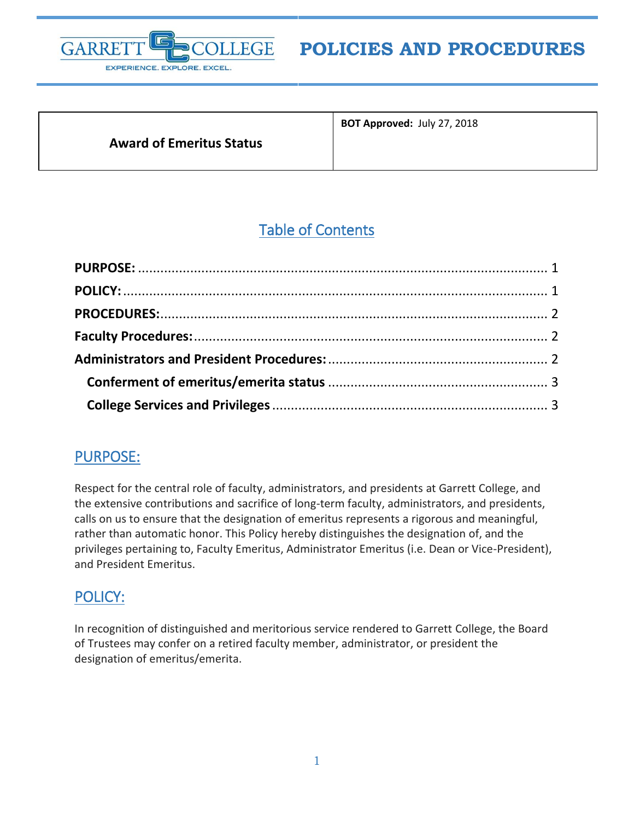

# **POLICIES AND PROCEDURES**

#### **Award of Emeritus Status**

**BOT Approved:** July 27, 2018

## Table of Contents

## <span id="page-0-0"></span>PURPOSE:

Respect for the central role of faculty, administrators, and presidents at Garrett College, and the extensive contributions and sacrifice of long-term faculty, administrators, and presidents, calls on us to ensure that the designation of emeritus represents a rigorous and meaningful, rather than automatic honor. This Policy hereby distinguishes the designation of, and the privileges pertaining to, Faculty Emeritus, Administrator Emeritus (i.e. Dean or Vice-President), and President Emeritus.

## <span id="page-0-1"></span>POLICY:

In recognition of distinguished and meritorious service rendered to Garrett College, the Board of Trustees may confer on a retired faculty member, administrator, or president the designation of emeritus/emerita.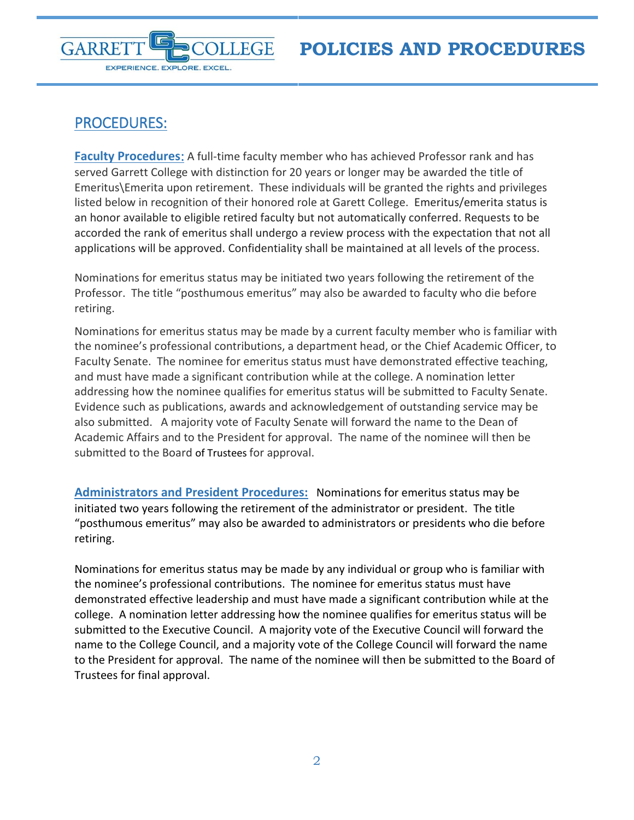

## <span id="page-1-0"></span>PROCEDURES:

<span id="page-1-1"></span>**Faculty Procedures**: A full-time faculty member who has achieved Professor rank and has served Garrett College with distinction for 20 years or longer may be awarded the title of Emeritus\Emerita upon retirement. These individuals will be granted the rights and privileges listed below in recognition of their honored role at Garett College. Emeritus/emerita status is an honor available to eligible retired faculty but not automatically conferred. Requests to be accorded the rank of emeritus shall undergo a review process with the expectation that not all applications will be approved. Confidentiality shall be maintained at all levels of the process.

Nominations for emeritus status may be initiated two years following the retirement of the Professor. The title "posthumous emeritus" may also be awarded to faculty who die before retiring.

Nominations for emeritus status may be made by a current faculty member who is familiar with the nominee's professional contributions, a department head, or the Chief Academic Officer, to Faculty Senate. The nominee for emeritus status must have demonstrated effective teaching, and must have made a significant contribution while at the college. A nomination letter addressing how the nominee qualifies for emeritus status will be submitted to Faculty Senate. Evidence such as publications, awards and acknowledgement of outstanding service may be also submitted. A majority vote of Faculty Senate will forward the name to the Dean of Academic Affairs and to the President for approval. The name of the nominee will then be submitted to the Board of Trustees for approval.

<span id="page-1-2"></span>**Administrators and President Procedures:** Nominations for emeritus status may be initiated two years following the retirement of the administrator or president. The title "posthumous emeritus" may also be awarded to administrators or presidents who die before retiring.

Nominations for emeritus status may be made by any individual or group who is familiar with the nominee's professional contributions. The nominee for emeritus status must have demonstrated effective leadership and must have made a significant contribution while at the college. A nomination letter addressing how the nominee qualifies for emeritus status will be submitted to the Executive Council. A majority vote of the Executive Council will forward the name to the College Council, and a majority vote of the College Council will forward the name to the President for approval. The name of the nominee will then be submitted to the Board of Trustees for final approval.